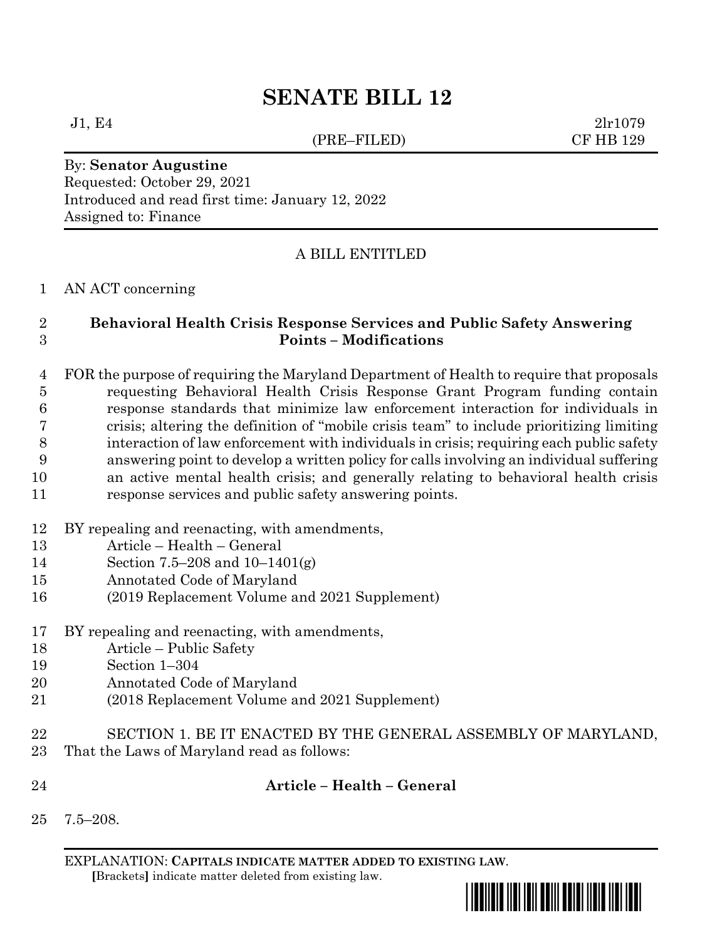# **SENATE BILL 12**

(PRE–FILED) CF HB 129

 $J1, E4$  2lr1079

By: **Senator Augustine** Requested: October 29, 2021 Introduced and read first time: January 12, 2022 Assigned to: Finance

## A BILL ENTITLED

## AN ACT concerning

## **Behavioral Health Crisis Response Services and Public Safety Answering Points – Modifications**

 FOR the purpose of requiring the Maryland Department of Health to require that proposals requesting Behavioral Health Crisis Response Grant Program funding contain response standards that minimize law enforcement interaction for individuals in crisis; altering the definition of "mobile crisis team" to include prioritizing limiting interaction of law enforcement with individuals in crisis; requiring each public safety answering point to develop a written policy for calls involving an individual suffering an active mental health crisis; and generally relating to behavioral health crisis response services and public safety answering points.

- BY repealing and reenacting, with amendments,
- Article Health General
- Section 7.5–208 and 10–1401(g)
- Annotated Code of Maryland
- (2019 Replacement Volume and 2021 Supplement)
- BY repealing and reenacting, with amendments,
- Article Public Safety
- Section 1–304
- Annotated Code of Maryland
- (2018 Replacement Volume and 2021 Supplement)
- SECTION 1. BE IT ENACTED BY THE GENERAL ASSEMBLY OF MARYLAND,
- That the Laws of Maryland read as follows:
- 

## **Article – Health – General**

7.5–208.

EXPLANATION: **CAPITALS INDICATE MATTER ADDED TO EXISTING LAW**.  **[**Brackets**]** indicate matter deleted from existing law.

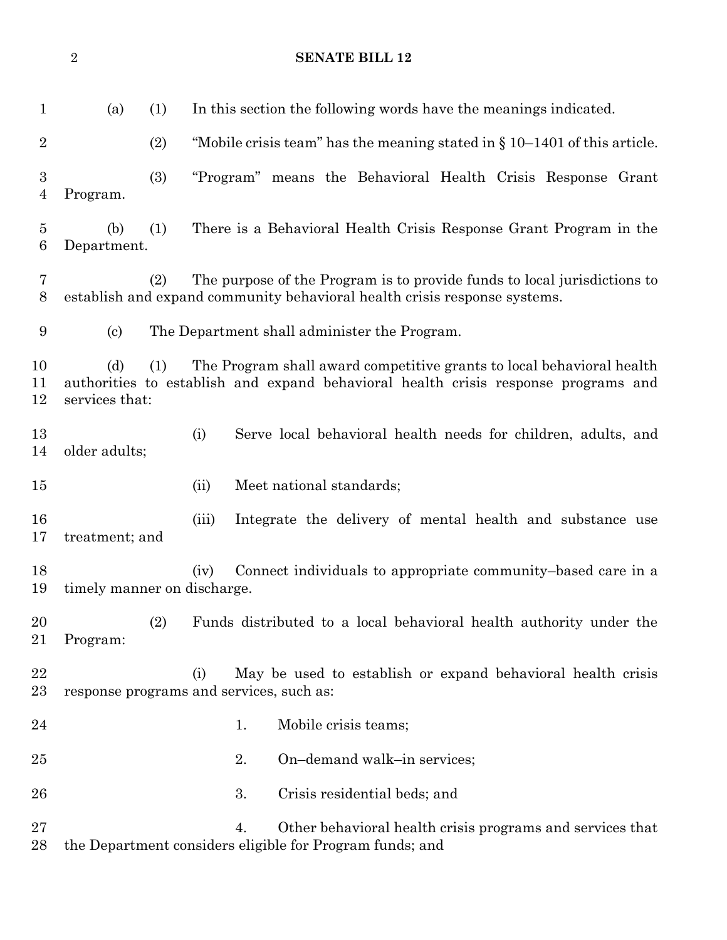**SENATE BILL 12** (a) (1) In this section the following words have the meanings indicated. (2) "Mobile crisis team" has the meaning stated in § 10–1401 of this article. (3) "Program" means the Behavioral Health Crisis Response Grant Program. (b) (1) There is a Behavioral Health Crisis Response Grant Program in the Department. (2) The purpose of the Program is to provide funds to local jurisdictions to establish and expand community behavioral health crisis response systems. (c) The Department shall administer the Program. (d) (1) The Program shall award competitive grants to local behavioral health authorities to establish and expand behavioral health crisis response programs and services that: (i) Serve local behavioral health needs for children, adults, and older adults; 15 (ii) Meet national standards; (iii) Integrate the delivery of mental health and substance use treatment; and 18 (iv) Connect individuals to appropriate community–based care in a timely manner on discharge. (2) Funds distributed to a local behavioral health authority under the Program: (i) May be used to establish or expand behavioral health crisis response programs and services, such as: 24 1. Mobile crisis teams; 2. On–demand walk–in services; 3. Crisis residential beds; and 4. Other behavioral health crisis programs and services that the Department considers eligible for Program funds; and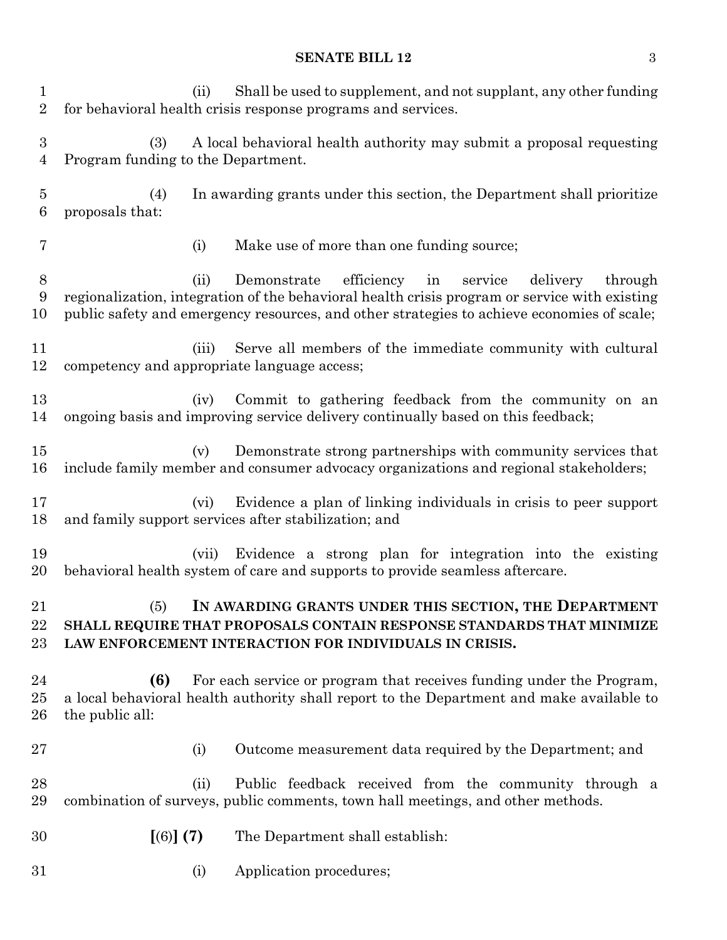## **SENATE BILL 12** 3

| $\mathbf{1}$<br>$\overline{2}$     | Shall be used to supplement, and not supplant, any other funding<br>(ii)<br>for behavioral health crisis response programs and services.                                                                                                                                 |  |  |  |  |  |
|------------------------------------|--------------------------------------------------------------------------------------------------------------------------------------------------------------------------------------------------------------------------------------------------------------------------|--|--|--|--|--|
| $\boldsymbol{3}$<br>$\overline{4}$ | (3)<br>A local behavioral health authority may submit a proposal requesting<br>Program funding to the Department.                                                                                                                                                        |  |  |  |  |  |
| $\overline{5}$<br>6                | (4)<br>In awarding grants under this section, the Department shall prioritize<br>proposals that:                                                                                                                                                                         |  |  |  |  |  |
| 7                                  | Make use of more than one funding source;<br>(i)                                                                                                                                                                                                                         |  |  |  |  |  |
| 8<br>9<br>10                       | efficiency<br>Demonstrate<br>in<br>service<br>delivery<br>through<br>(ii)<br>regionalization, integration of the behavioral health crisis program or service with existing<br>public safety and emergency resources, and other strategies to achieve economies of scale; |  |  |  |  |  |
| 11<br>12                           | Serve all members of the immediate community with cultural<br>(iii)<br>competency and appropriate language access;                                                                                                                                                       |  |  |  |  |  |
| 13<br>14                           | Commit to gathering feedback from the community on an<br>(iv)<br>ongoing basis and improving service delivery continually based on this feedback;                                                                                                                        |  |  |  |  |  |
| 15<br>16                           | Demonstrate strong partnerships with community services that<br>(v)<br>include family member and consumer advocacy organizations and regional stakeholders;                                                                                                              |  |  |  |  |  |
| 17<br>18                           | Evidence a plan of linking individuals in crisis to peer support<br>(vi)<br>and family support services after stabilization; and                                                                                                                                         |  |  |  |  |  |
| 19<br>20                           | Evidence a strong plan for integration into the existing<br>(vii)<br>behavioral health system of care and supports to provide seamless aftercare.                                                                                                                        |  |  |  |  |  |
| 21<br>22<br>$23\,$                 | IN AWARDING GRANTS UNDER THIS SECTION, THE DEPARTMENT<br>(5)<br>SHALL REQUIRE THAT PROPOSALS CONTAIN RESPONSE STANDARDS THAT MINIMIZE<br>LAW ENFORCEMENT INTERACTION FOR INDIVIDUALS IN CRISIS.                                                                          |  |  |  |  |  |
| 24<br>25<br>26                     | (6)<br>For each service or program that receives funding under the Program,<br>a local behavioral health authority shall report to the Department and make available to<br>the public all:                                                                               |  |  |  |  |  |
| $27\,$                             | Outcome measurement data required by the Department; and<br>(i)                                                                                                                                                                                                          |  |  |  |  |  |
| 28<br>29                           | Public feedback received from the community through a<br>(ii)<br>combination of surveys, public comments, town hall meetings, and other methods.                                                                                                                         |  |  |  |  |  |
| 30                                 | [(6)] (7)<br>The Department shall establish:                                                                                                                                                                                                                             |  |  |  |  |  |
| 31                                 | Application procedures;<br>(i)                                                                                                                                                                                                                                           |  |  |  |  |  |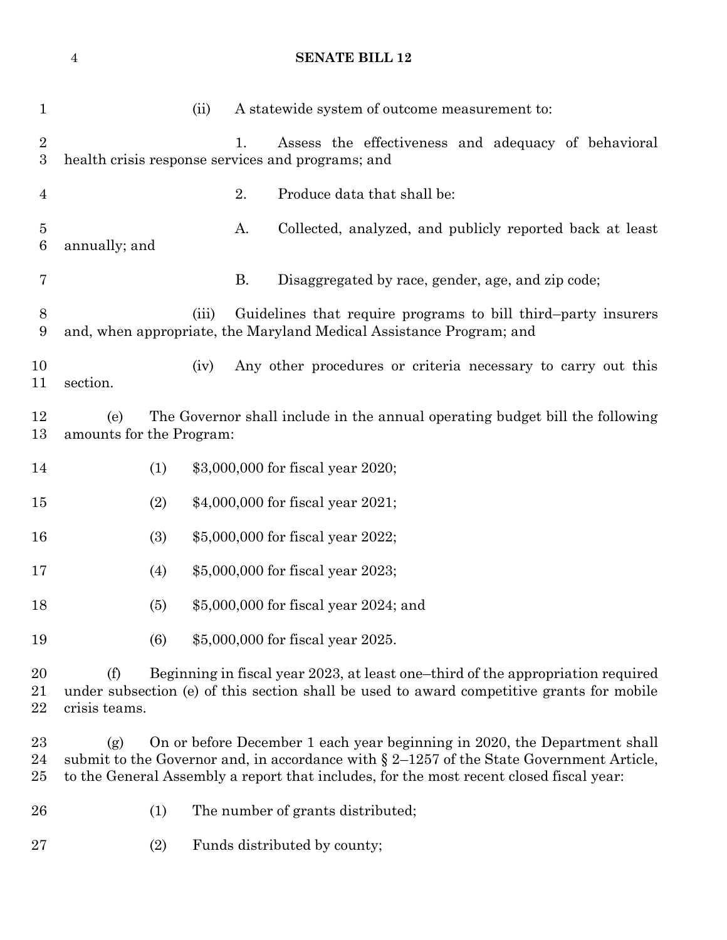**SENATE BILL 12**

| $\mathbf{1}$                       |                                                                                                                                                                                                                                                                             | (ii)  |    | A statewide system of outcome measurement to:                                                                                        |  |  |
|------------------------------------|-----------------------------------------------------------------------------------------------------------------------------------------------------------------------------------------------------------------------------------------------------------------------------|-------|----|--------------------------------------------------------------------------------------------------------------------------------------|--|--|
| $\overline{2}$<br>$\boldsymbol{3}$ | 1.<br>Assess the effectiveness and adequacy of behavioral<br>health crisis response services and programs; and                                                                                                                                                              |       |    |                                                                                                                                      |  |  |
| $\overline{4}$                     |                                                                                                                                                                                                                                                                             |       | 2. | Produce data that shall be:                                                                                                          |  |  |
| $\overline{5}$<br>$6\phantom{.}6$  | annually; and                                                                                                                                                                                                                                                               |       | А. | Collected, analyzed, and publicly reported back at least                                                                             |  |  |
| 7                                  |                                                                                                                                                                                                                                                                             |       | B. | Disaggregated by race, gender, age, and zip code;                                                                                    |  |  |
| 8<br>9                             |                                                                                                                                                                                                                                                                             | (iii) |    | Guidelines that require programs to bill third-party insurers<br>and, when appropriate, the Maryland Medical Assistance Program; and |  |  |
| 10<br>11                           | section.                                                                                                                                                                                                                                                                    | (iv)  |    | Any other procedures or criteria necessary to carry out this                                                                         |  |  |
| 12<br>13                           | The Governor shall include in the annual operating budget bill the following<br>(e)<br>amounts for the Program:                                                                                                                                                             |       |    |                                                                                                                                      |  |  |
| 14                                 | (1)                                                                                                                                                                                                                                                                         |       |    | \$3,000,000 for fiscal year 2020;                                                                                                    |  |  |
| 15                                 | (2)                                                                                                                                                                                                                                                                         |       |    | \$4,000,000 for fiscal year 2021;                                                                                                    |  |  |
| 16                                 | (3)                                                                                                                                                                                                                                                                         |       |    | \$5,000,000 for fiscal year 2022;                                                                                                    |  |  |
| 17                                 | (4)                                                                                                                                                                                                                                                                         |       |    | \$5,000,000 for fiscal year 2023;                                                                                                    |  |  |
| 18                                 | (5)                                                                                                                                                                                                                                                                         |       |    | \$5,000,000 for fiscal year 2024; and                                                                                                |  |  |
| 19                                 | (6)                                                                                                                                                                                                                                                                         |       |    | \$5,000,000 for fiscal year 2025.                                                                                                    |  |  |
| 20<br>21<br>22                     | Beginning in fiscal year 2023, at least one-third of the appropriation required<br>(f)<br>under subsection (e) of this section shall be used to award competitive grants for mobile<br>crisis teams.                                                                        |       |    |                                                                                                                                      |  |  |
| 23<br>24<br>25                     | On or before December 1 each year beginning in 2020, the Department shall<br>(g)<br>submit to the Governor and, in accordance with $\S 2$ –1257 of the State Government Article,<br>to the General Assembly a report that includes, for the most recent closed fiscal year: |       |    |                                                                                                                                      |  |  |
| 26                                 | (1)                                                                                                                                                                                                                                                                         |       |    | The number of grants distributed;                                                                                                    |  |  |
| 27                                 | (2)                                                                                                                                                                                                                                                                         |       |    | Funds distributed by county;                                                                                                         |  |  |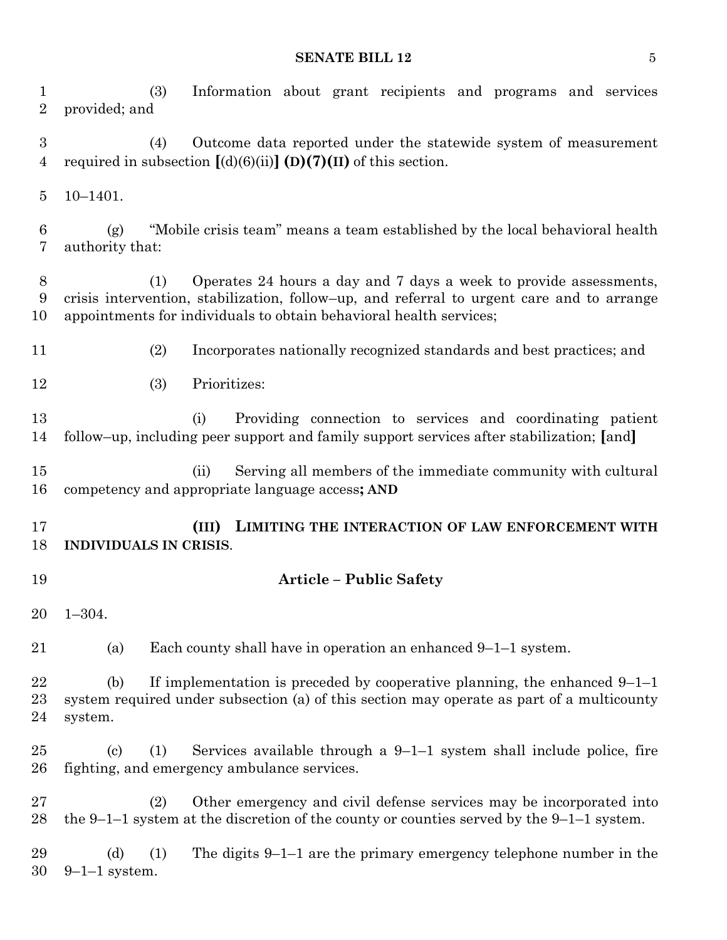#### **SENATE BILL 12** 5

 (3) Information about grant recipients and programs and services provided; and (4) Outcome data reported under the statewide system of measurement 4 required in subsection  $[(d)(6)(ii)]$  (D)(7)(II) of this section. 10–1401. (g) "Mobile crisis team" means a team established by the local behavioral health authority that: (1) Operates 24 hours a day and 7 days a week to provide assessments, crisis intervention, stabilization, follow–up, and referral to urgent care and to arrange appointments for individuals to obtain behavioral health services; (2) Incorporates nationally recognized standards and best practices; and (3) Prioritizes: (i) Providing connection to services and coordinating patient follow–up, including peer support and family support services after stabilization; **[**and**]** (ii) Serving all members of the immediate community with cultural competency and appropriate language access**; AND (III) LIMITING THE INTERACTION OF LAW ENFORCEMENT WITH INDIVIDUALS IN CRISIS**. **Article – Public Safety** 1–304. (a) Each county shall have in operation an enhanced 9–1–1 system. 22 (b) If implementation is preceded by cooperative planning, the enhanced  $9-1-1$  system required under subsection (a) of this section may operate as part of a multicounty system. 25 (c) (1) Services available through a  $9-1-1$  system shall include police, fire fighting, and emergency ambulance services. (2) Other emergency and civil defense services may be incorporated into 28 the 9–1–1 system at the discretion of the county or counties served by the 9–1–1 system. 29 (d) (1) The digits 9–1–1 are the primary emergency telephone number in the 9–1–1 system.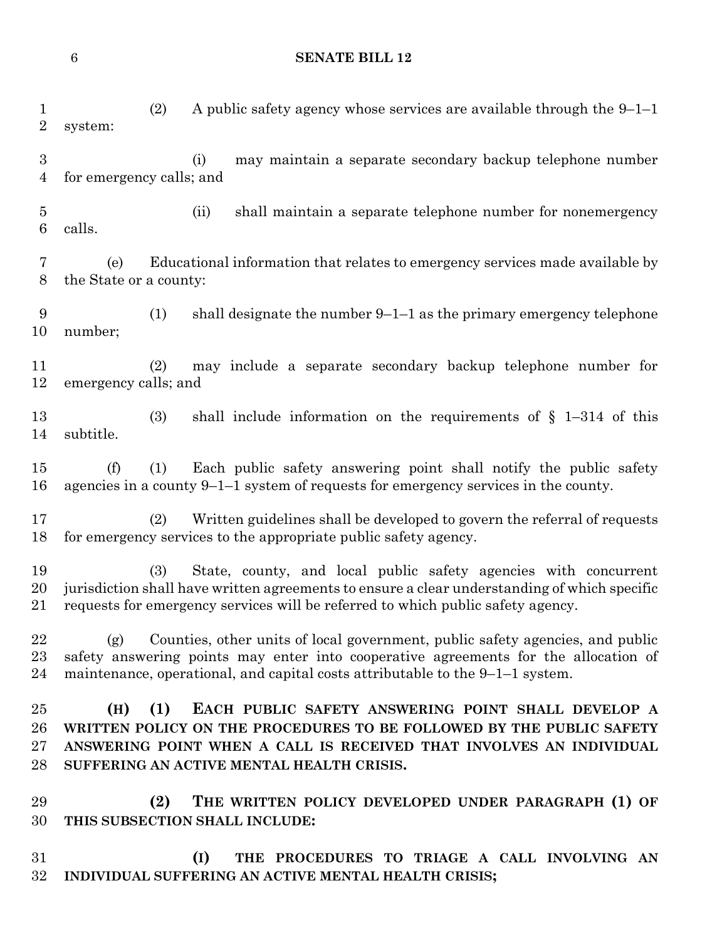**SENATE BILL 12**

 (2) A public safety agency whose services are available through the 9–1–1 system: (i) may maintain a separate secondary backup telephone number for emergency calls; and (ii) shall maintain a separate telephone number for nonemergency calls. (e) Educational information that relates to emergency services made available by the State or a county: (1) shall designate the number 9–1–1 as the primary emergency telephone number; (2) may include a separate secondary backup telephone number for emergency calls; and (3) shall include information on the requirements of § 1–314 of this subtitle. (f) (1) Each public safety answering point shall notify the public safety agencies in a county 9–1–1 system of requests for emergency services in the county. (2) Written guidelines shall be developed to govern the referral of requests for emergency services to the appropriate public safety agency. (3) State, county, and local public safety agencies with concurrent jurisdiction shall have written agreements to ensure a clear understanding of which specific requests for emergency services will be referred to which public safety agency. (g) Counties, other units of local government, public safety agencies, and public safety answering points may enter into cooperative agreements for the allocation of maintenance, operational, and capital costs attributable to the 9–1–1 system. **(H) (1) EACH PUBLIC SAFETY ANSWERING POINT SHALL DEVELOP A WRITTEN POLICY ON THE PROCEDURES TO BE FOLLOWED BY THE PUBLIC SAFETY ANSWERING POINT WHEN A CALL IS RECEIVED THAT INVOLVES AN INDIVIDUAL SUFFERING AN ACTIVE MENTAL HEALTH CRISIS. (2) THE WRITTEN POLICY DEVELOPED UNDER PARAGRAPH (1) OF THIS SUBSECTION SHALL INCLUDE:**

 **(I) THE PROCEDURES TO TRIAGE A CALL INVOLVING AN INDIVIDUAL SUFFERING AN ACTIVE MENTAL HEALTH CRISIS;**